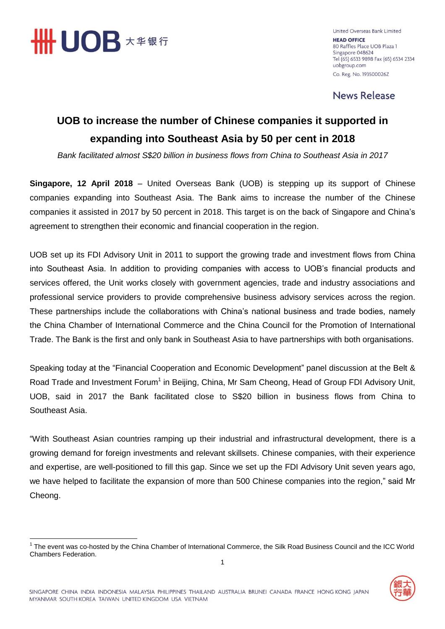

United Overseas Bank Limited **HEAD OFFICE** 80 Raffles Place UOB Plaza 1 Singapore 048624 Tel (65) 6533 9898 Fax (65) 6534 2334 uobgroup.com Co. Reg. No. 193500026Z

**News Release** 

## **UOB to increase the number of Chinese companies it supported in expanding into Southeast Asia by 50 per cent in 2018**

*Bank facilitated almost S\$20 billion in business flows from China to Southeast Asia in 2017*

**Singapore, 12 April 2018** – United Overseas Bank (UOB) is stepping up its support of Chinese companies expanding into Southeast Asia. The Bank aims to increase the number of the Chinese companies it assisted in 2017 by 50 percent in 2018. This target is on the back of Singapore and China's agreement to strengthen their economic and financial cooperation in the region.

UOB set up its FDI Advisory Unit in 2011 to support the growing trade and investment flows from China into Southeast Asia. In addition to providing companies with access to UOB's financial products and services offered, the Unit works closely with government agencies, trade and industry associations and professional service providers to provide comprehensive business advisory services across the region. These partnerships include the collaborations with China's national business and trade bodies, namely the China Chamber of International Commerce and the China Council for the Promotion of International Trade. The Bank is the first and only bank in Southeast Asia to have partnerships with both organisations.

Speaking today at the "Financial Cooperation and Economic Development" panel discussion at the Belt & Road Trade and Investment Forum<sup>1</sup> in Beijing, China, Mr Sam Cheong, Head of Group FDI Advisory Unit, UOB, said in 2017 the Bank facilitated close to S\$20 billion in business flows from China to Southeast Asia.

"With Southeast Asian countries ramping up their industrial and infrastructural development, there is a growing demand for foreign investments and relevant skillsets. Chinese companies, with their experience and expertise, are well-positioned to fill this gap. Since we set up the FDI Advisory Unit seven years ago, we have helped to facilitate the expansion of more than 500 Chinese companies into the region," said Mr Cheong.

 1 The event was co-hosted by the China Chamber of International Commerce, the Silk Road Business Council and the ICC World Chambers Federation.

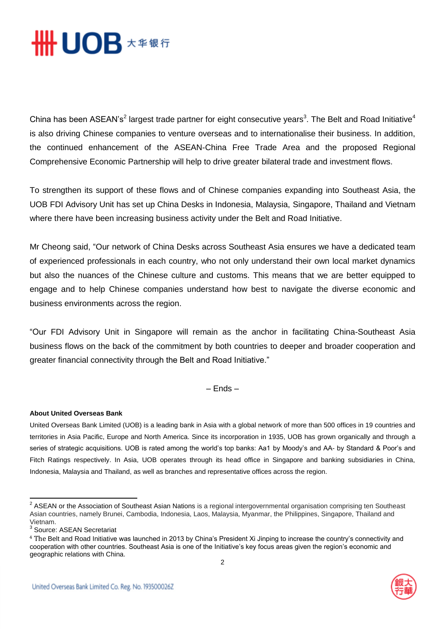

China has been ASEAN's<sup>2</sup> largest trade partner for eight consecutive years<sup>3</sup>. The Belt and Road Initiative<sup>4</sup> is also driving Chinese companies to venture overseas and to internationalise their business. In addition, the continued enhancement of the ASEAN-China Free Trade Area and the proposed Regional Comprehensive Economic Partnership will help to drive greater bilateral trade and investment flows.

To strengthen its support of these flows and of Chinese companies expanding into Southeast Asia, the UOB FDI Advisory Unit has set up China Desks in Indonesia, Malaysia, Singapore, Thailand and Vietnam where there have been increasing business activity under the Belt and Road Initiative.

Mr Cheong said, "Our network of China Desks across Southeast Asia ensures we have a dedicated team of experienced professionals in each country, who not only understand their own local market dynamics but also the nuances of the Chinese culture and customs. This means that we are better equipped to engage and to help Chinese companies understand how best to navigate the diverse economic and business environments across the region.

"Our FDI Advisory Unit in Singapore will remain as the anchor in facilitating China-Southeast Asia business flows on the back of the commitment by both countries to deeper and broader cooperation and greater financial connectivity through the Belt and Road Initiative."

– Ends –

## **About United Overseas Bank**

United Overseas Bank Limited (UOB) is a leading bank in Asia with a global network of more than 500 offices in 19 countries and territories in Asia Pacific, Europe and North America. Since its incorporation in 1935, UOB has grown organically and through a series of strategic acquisitions. UOB is rated among the world's top banks: Aa1 by Moody's and AA- by Standard & Poor's and Fitch Ratings respectively. In Asia, UOB operates through its head office in Singapore and banking subsidiaries in China, Indonesia, Malaysia and Thailand, as well as branches and representative offices across the region.



 2 ASEAN or the Association of Southeast Asian Nations is a regional intergovernmental organisation comprising ten Southeast Asian countries, namely Brunei, Cambodia, Indonesia, Laos, Malaysia, Myanmar, the Philippines, Singapore, Thailand and Vietnam.

<sup>&</sup>lt;sup>3</sup> Source: ASEAN Secretariat

<sup>4</sup> The Belt and Road Initiative was launched in 2013 by China's President Xi Jinping to increase the country's connectivity and cooperation with other countries. Southeast Asia is one of the Initiative's key focus areas given the region's economic and geographic relations with China.